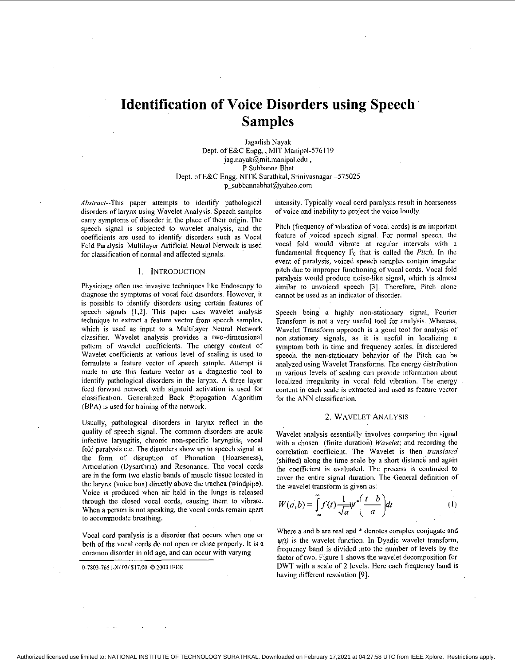# **Identification of Voice Disorders using Speech Samples**

lagadish Nayak Dept. of E&C Engg, , MIT Manipal-576119 [jag.nayak@mit.manipal.edu](mailto:jag.nayak@mit.manipal.edu) , P Subbanna Bhat Dept. of E&C Engg. NITK Surathkal, Srinivasnagar -575025 [p\\_subhannahhat@yahoo.com](mailto:p_subhannahhat@yahoo.com) 

Abstract--This paper attempts to identify pathological disorders of larynx using Wavelet Analysis. Speech samplcs carry symptoms of disorder in the place of their origin. The specch signal is subjected to wavelet analysis, and the coefficients are used to identify disorders such as Vocal Fold Paralysis. Multilayer Artificial Neural Network is used for classification of normal and affected signals.

## 1. INTRODUCTION

Physicians oflen use invasive techniques like Endoscopy to diagnose the symptoms of vocal fold disorders. However, it is possible to identify disorders using certain features of speech signals [1,2]. This paper uses wavelet analysis technique to extract a featurc vector from speech samples, which is used as input to a Multilayer Neural Network classifier. Wavelet analysis provides a two-dimensional pattem of wavelet coefficients. The energy content of Wavelet coefficients at various level of scaling is used to formulate a feature vector of speech sample. Attempt is made to use this feature vector as a diagnostic tool to identify pathological disorders in the larynx. A three layer feed forward network with sigmoid activation is used for classification. Generalized Back Propagation Algorithm (BPA) is used for training of the network.

Usually, pathological disorders in larynx reflect in the quality of speech signal. The common disorders are acute infective laryngitis, chronic non-specific laryngitis, vocal fold paralysis etc. The disorders show up in speech signal in the form of disruption of Phonation (Hoarseness), Articulation (Dysarthria) and Resonance. The vocal cords are in the form two elastic hands of muscle tissue located in the larynx (voice box) directly above the trachea (windpipe). Voice is produced when air held in the lungs is released through the closed vocal cords, causing them to vibrate. When a person is not speaking, the vocal cords remain apart to accommodate breathing.

Vocal cord paralysis is a disorder that occurs when one or both of the vocal cords do not open or close properly. It is a common disorder in old age, and can occur with varying

**0-7803-765l-Xl031\$17.00** 62003 **lEEE** 

intcnsity. Typically vocal cord paralysis result in hoarseness of voice and inability to project the voice loudly.

Pitch (frequency of vibration of vocal cords) is an important feature of voiced speech signal. For normal speech, the vocal fold would vibrate at regular intervals with a fundamental frequency Fo that is called the *Pitch.* **In** thc event of paralysis, voiced speech samples contgin irregular pitch due to improper functioning of vocal cords. Vocal fold paralysis would produce noise-like signal, which is almost similar to unvoiced speech *[3].* Therefore, Pitch alone cannot be used as an indicator of disorder.

Speech being a highly non-stationary signal, Fouricr Transform is not a very useful tool for analysis. Whereas, Wavelet Transform approach is a good tool for analysis of non-stationary signals, **as** it is useful in localizing a symptom both in time and frequency scales. **In** disordered speech, the non-stationary behavior of the Pitch can be analyzed using Wavelet Transforms. The energy distribution in various levels of scaling can provide information about localized irregularity in vocal fold vibration. The energy content in each scale is extracted and uscd as feature vector for the ANN classification.

#### 2. WAVELET ANALYSIS

Wavelet analysis essentially involves comparing the signal with a chosen (finite duration) *Wavelet;* and recording the correlation coefficient. The Wavelet is then *translated*  (shifted) along the time scale by a short distance and again the coefficient is evaluated. The process is continued to cover the entire signal duration. The General definition of the wavelet transform is given as:

$$
W(a,b) = \int_{-\infty}^{\infty} f(t) \frac{1}{\sqrt{a}} \psi^* \left(\frac{t-b}{a}\right) dt \tag{1}
$$

Where a and b are real and \* denotes complex conjugate and  $\psi(t)$  is the wavelet function. In Dyadic wavelet transform, frequency hand is divided into the number of levels by the factor of two. Figure **I** shows the wavelet decomposition for DWT with a scale of **2** levels. Here each frequency hand is having different resolution [9].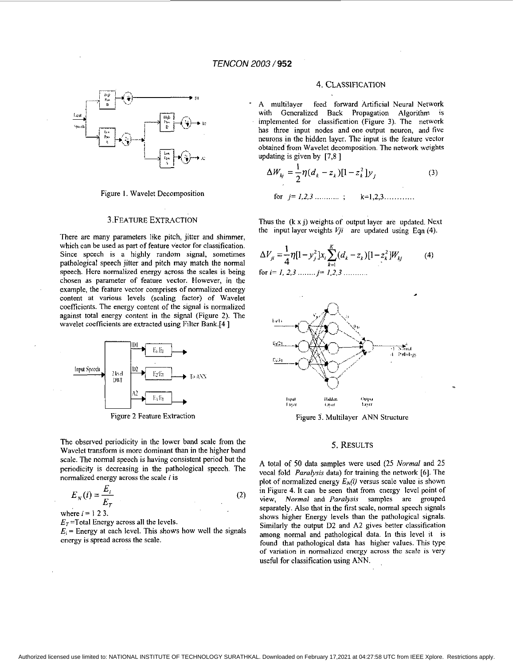

Figure 1. Wavelet Decomposition

# 3.FEATURE EXTRACTION

There are many parameters like pitch, jitter and shimmer, which can be used **as** part of feature vector for classification. Since speech is a highly random signal, sometimes pathological speech jitter and pitch may match the normal speech. Here normalized energy across the scales is being chosen as parameter of feature vector. However, in the example, the feature vector comprises of normalized energy content at various levels (scaling factor) of Wavelet coefficients. The energy content of the signal is normalized against total energy content in the signal (Figure 2). The wavelet coefficients are extracted using Filter Bank.[4 ]



Figure *2* Feature Extraction

The observed periodicity in the lower band scale from the Wavelet transform is more dominant than in the higher band scale. The normal speech is having consistent period but the periodicity is decreasing in the pathological speech. The normalized energy across the scale *i* is

$$
E_N(i) = \frac{E_i}{E_T}
$$
 (2)

where 
$$
i = 1, 2, 3
$$
.

 $E_T$ =Total Energy across all the levels.

 $E_i$  = Energy at each level. This shows how well the signals energy is spread across the scale.

# 4. CLASSIFICATION

multilayer feed forward Artificial Neural Network with Generalized Back Propagation Algorithm is implemented for classification (Figure 3). The network has three input nodes and one output neuron, and five neurons in the hidden layer. The input is the feature vector obtained from Wavelet decomposition. The network weights updating is given by [7,8 ]

$$
\Delta W_{kj} = \frac{1}{2} \eta (d_k - z_k) [1 - z_k^2] y_j
$$
 (3)  
for  $j = 1, 2, 3, \dots, j$   $k=1, 2, 3, \dots$ 

Thus the (k x j) weights of output layer are updated. Next the input layer weights  $Vji$  are updated using Eqn (4).

$$
\Delta V_{ji} = \frac{1}{4} \eta [1 - y_j^2] x_i \sum_{k=1}^{K} (d_k - z_k) [1 - z_k^2] W_{kj}
$$
\n
$$
\text{for } i = 1, 2, 3 \dots, j = 1, 2, 3 \dots \dots \dots \tag{4}
$$



Figure 3. Multilayer ANN Structure

#### *5.* RESULTS

**A** total of 50 data samples were used *(25 Normal* and *25*  vocal fold *Paralysis* data) for training the network *[6].* The plot of normalized energy  $E_N(i)$  versus scale value is shown in [Figure 4.](#page-2-0) It can be seen that from energy level point of view, *Normal* and *Paralysis* samples are grouped separately. Also that in the first scale, normal speech signals shows higher Energy levels than the pathological signals. Similarly the output D2 and A2 gives better classification among normal and pathological data. In this level it is found that pathological data has higher values. This type of variation in normalized energy across the scale is very useful for classification using ANN.